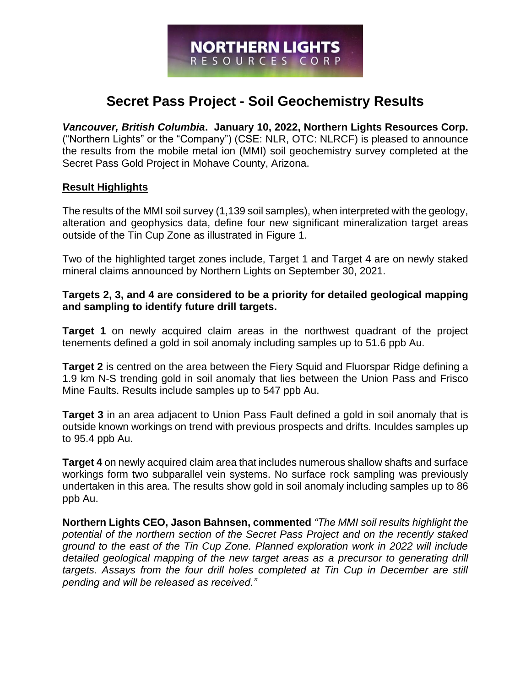# **Secret Pass Project - Soil Geochemistry Results**

*Vancouver, British Columbia***. January 10, 2022, Northern Lights Resources Corp.**  ("Northern Lights" or the "Company") (CSE: NLR, OTC: NLRCF) is pleased to announce the results from the mobile metal ion (MMI) soil geochemistry survey completed at the Secret Pass Gold Project in Mohave County, Arizona.

#### **Result Highlights**

The results of the MMI soil survey (1,139 soil samples), when interpreted with the geology, alteration and geophysics data, define four new significant mineralization target areas outside of the Tin Cup Zone as illustrated in Figure 1.

Two of the highlighted target zones include, Target 1 and Target 4 are on newly staked mineral claims announced by Northern Lights on September 30, 2021.

## **Targets 2, 3, and 4 are considered to be a priority for detailed geological mapping and sampling to identify future drill targets.**

**Target 1** on newly acquired claim areas in the northwest quadrant of the project tenements defined a gold in soil anomaly including samples up to 51.6 ppb Au.

**Target 2** is centred on the area between the Fiery Squid and Fluorspar Ridge defining a 1.9 km N-S trending gold in soil anomaly that lies between the Union Pass and Frisco Mine Faults. Results include samples up to 547 ppb Au.

**Target 3** in an area adjacent to Union Pass Fault defined a gold in soil anomaly that is outside known workings on trend with previous prospects and drifts. Inculdes samples up to 95.4 ppb Au.

**Target 4** on newly acquired claim area that includes numerous shallow shafts and surface workings form two subparallel vein systems. No surface rock sampling was previously undertaken in this area. The results show gold in soil anomaly including samples up to 86 ppb Au.

**Northern Lights CEO, Jason Bahnsen, commented** *"The MMI soil results highlight the potential of the northern section of the Secret Pass Project and on the recently staked ground to the east of the Tin Cup Zone. Planned exploration work in 2022 will include detailed geological mapping of the new target areas as a precursor to generating drill targets. Assays from the four drill holes completed at Tin Cup in December are still pending and will be released as received."*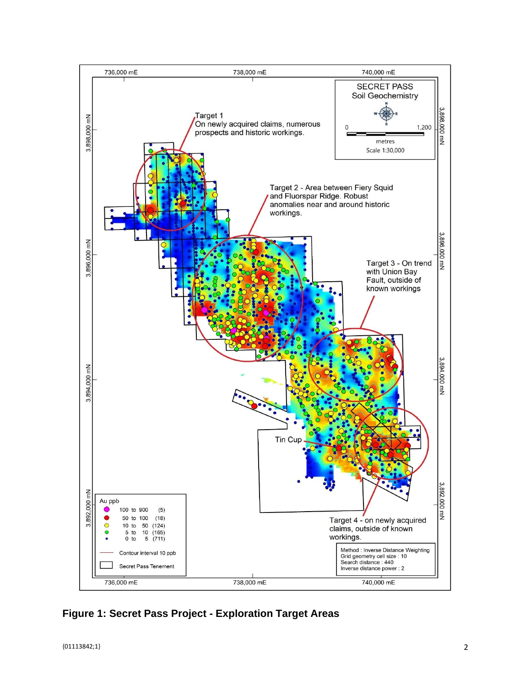

**Figure 1: Secret Pass Project - Exploration Target Areas**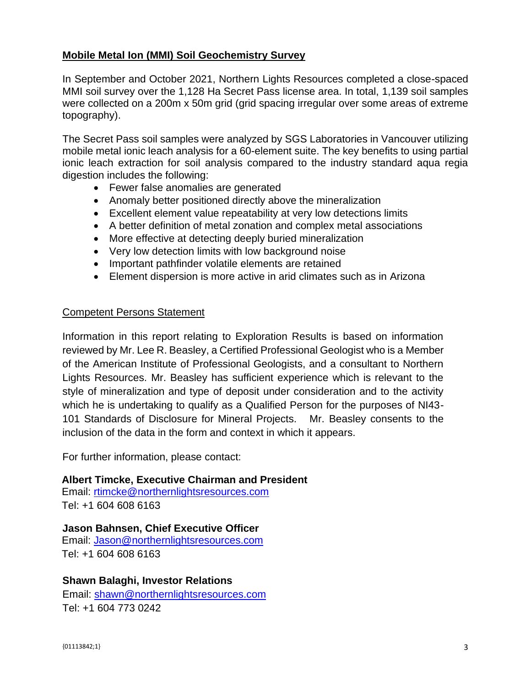## **Mobile Metal Ion (MMI) Soil Geochemistry Survey**

In September and October 2021, Northern Lights Resources completed a close-spaced MMI soil survey over the 1,128 Ha Secret Pass license area. In total, 1,139 soil samples were collected on a 200m x 50m grid (grid spacing irregular over some areas of extreme topography).

The Secret Pass soil samples were analyzed by SGS Laboratories in Vancouver utilizing mobile metal ionic leach analysis for a 60-element suite. The key benefits to using partial ionic leach extraction for soil analysis compared to the industry standard aqua regia digestion includes the following:

- Fewer false anomalies are generated
- Anomaly better positioned directly above the mineralization
- Excellent element value repeatability at very low detections limits
- A better definition of metal zonation and complex metal associations
- More effective at detecting deeply buried mineralization
- Very low detection limits with low background noise
- Important pathfinder volatile elements are retained
- Element dispersion is more active in arid climates such as in Arizona

## Competent Persons Statement

Information in this report relating to Exploration Results is based on information reviewed by Mr. Lee R. Beasley, a Certified Professional Geologist who is a Member of the American Institute of Professional Geologists, and a consultant to Northern Lights Resources. Mr. Beasley has sufficient experience which is relevant to the style of mineralization and type of deposit under consideration and to the activity which he is undertaking to qualify as a Qualified Person for the purposes of NI43- 101 Standards of Disclosure for Mineral Projects. Mr. Beasley consents to the inclusion of the data in the form and context in which it appears.

For further information, please contact:

**Albert Timcke, Executive Chairman and President** 

Email: rtimcke@northernlightsresources.com Tel: +1 604 608 6163

## **Jason Bahnsen, Chief Executive Officer**

Email: Jason@northernlightsresources.com Tel: +1 604 608 6163

## **Shawn Balaghi, Investor Relations**

Email: [shawn@northernlightsresources.com](mailto:shawn@northernlightsresources.com) Tel: +1 604 773 0242